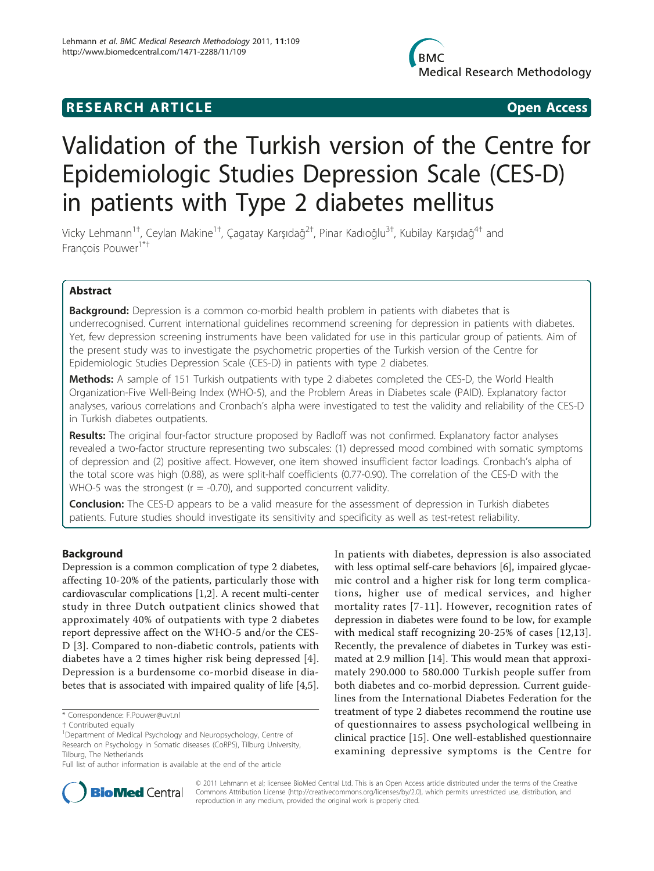# **RESEARCH ARTICLE Example 2018 12:00 Department of the CODE CODE Access**

# Validation of the Turkish version of the Centre for Epidemiologic Studies Depression Scale (CES-D) in patients with Type 2 diabetes mellitus

Vicky Lehmann $^{\mathrm{1+}}$ , Ceylan Makine $^{\mathrm{1+}}$ , Çagatay Karşıdağ $^{\mathrm{2+}}$ , Pinar Kadıoğlu $^{\mathrm{3+}}$ , Kubilay Karşıdağ $^{\mathrm{4+}}$  and François Pouwer<sup>1\*†</sup>

# Abstract

**Background:** Depression is a common co-morbid health problem in patients with diabetes that is underrecognised. Current international guidelines recommend screening for depression in patients with diabetes. Yet, few depression screening instruments have been validated for use in this particular group of patients. Aim of the present study was to investigate the psychometric properties of the Turkish version of the Centre for Epidemiologic Studies Depression Scale (CES-D) in patients with type 2 diabetes.

Methods: A sample of 151 Turkish outpatients with type 2 diabetes completed the CES-D, the World Health Organization-Five Well-Being Index (WHO-5), and the Problem Areas in Diabetes scale (PAID). Explanatory factor analyses, various correlations and Cronbach's alpha were investigated to test the validity and reliability of the CES-D in Turkish diabetes outpatients.

Results: The original four-factor structure proposed by Radloff was not confirmed. Explanatory factor analyses revealed a two-factor structure representing two subscales: (1) depressed mood combined with somatic symptoms of depression and (2) positive affect. However, one item showed insufficient factor loadings. Cronbach's alpha of the total score was high (0.88), as were split-half coefficients (0.77-0.90). The correlation of the CES-D with the WHO-5 was the strongest ( $r = -0.70$ ), and supported concurrent validity.

**Conclusion:** The CES-D appears to be a valid measure for the assessment of depression in Turkish diabetes patients. Future studies should investigate its sensitivity and specificity as well as test-retest reliability.

# Background

Depression is a common complication of type 2 diabetes, affecting 10-20% of the patients, particularly those with cardiovascular complications [\[1,2](#page-6-0)]. A recent multi-center study in three Dutch outpatient clinics showed that approximately 40% of outpatients with type 2 diabetes report depressive affect on the WHO-5 and/or the CES-D [[3](#page-6-0)]. Compared to non-diabetic controls, patients with diabetes have a 2 times higher risk being depressed [[4](#page-6-0)]. Depression is a burdensome co-morbid disease in diabetes that is associated with impaired quality of life [\[4,5](#page-6-0)].

In patients with diabetes, depression is also associated with less optimal self-care behaviors [\[6](#page-6-0)], impaired glycaemic control and a higher risk for long term complications, higher use of medical services, and higher mortality rates [[7](#page-6-0)-[11](#page-6-0)]. However, recognition rates of depression in diabetes were found to be low, for example with medical staff recognizing 20-25% of cases [[12](#page-6-0),[13](#page-6-0)]. Recently, the prevalence of diabetes in Turkey was estimated at 2.9 million [\[14\]](#page-6-0). This would mean that approximately 290.000 to 580.000 Turkish people suffer from both diabetes and co-morbid depression. Current guidelines from the International Diabetes Federation for the treatment of type 2 diabetes recommend the routine use of questionnaires to assess psychological wellbeing in clinical practice [[15](#page-6-0)]. One well-established questionnaire examining depressive symptoms is the Centre for



© 2011 Lehmann et al; licensee BioMed Central Ltd. This is an Open Access article distributed under the terms of the Creative Commons Attribution License [\(http://creativecommons.org/licenses/by/2.0](http://creativecommons.org/licenses/by/2.0)), which permits unrestricted use, distribution, and reproduction in any medium, provided the original work is properly cited.

<sup>\*</sup> Correspondence: [F.Pouwer@uvt.nl](mailto:F.Pouwer@uvt.nl)

<sup>†</sup> Contributed equally <sup>1</sup>

Department of Medical Psychology and Neuropsychology, Centre of Research on Psychology in Somatic diseases (CoRPS), Tilburg University, Tilburg, The Netherlands

Full list of author information is available at the end of the article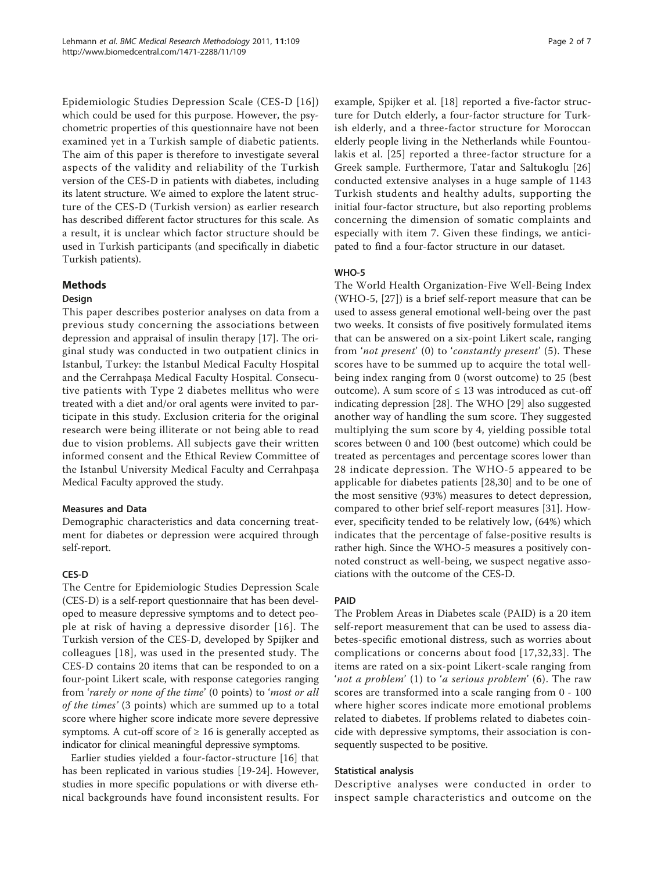Epidemiologic Studies Depression Scale (CES-D [\[16\]](#page-6-0)) which could be used for this purpose. However, the psychometric properties of this questionnaire have not been examined yet in a Turkish sample of diabetic patients. The aim of this paper is therefore to investigate several aspects of the validity and reliability of the Turkish version of the CES-D in patients with diabetes, including its latent structure. We aimed to explore the latent structure of the CES-D (Turkish version) as earlier research has described different factor structures for this scale. As a result, it is unclear which factor structure should be used in Turkish participants (and specifically in diabetic Turkish patients).

# Methods

#### **Design**

This paper describes posterior analyses on data from a previous study concerning the associations between depression and appraisal of insulin therapy [\[17](#page-6-0)]. The original study was conducted in two outpatient clinics in Istanbul, Turkey: the Istanbul Medical Faculty Hospital and the Cerrahpaşa Medical Faculty Hospital. Consecutive patients with Type 2 diabetes mellitus who were treated with a diet and/or oral agents were invited to participate in this study. Exclusion criteria for the original research were being illiterate or not being able to read due to vision problems. All subjects gave their written informed consent and the Ethical Review Committee of the Istanbul University Medical Faculty and Cerrahpaşa Medical Faculty approved the study.

# Measures and Data

Demographic characteristics and data concerning treatment for diabetes or depression were acquired through self-report.

#### CES-D

The Centre for Epidemiologic Studies Depression Scale (CES-D) is a self-report questionnaire that has been developed to measure depressive symptoms and to detect people at risk of having a depressive disorder [[16\]](#page-6-0). The Turkish version of the CES-D, developed by Spijker and colleagues [[18\]](#page-6-0), was used in the presented study. The CES-D contains 20 items that can be responded to on a four-point Likert scale, with response categories ranging from 'rarely or none of the time' (0 points) to 'most or all of the times' (3 points) which are summed up to a total score where higher score indicate more severe depressive symptoms. A cut-off score of  $\geq 16$  is generally accepted as indicator for clinical meaningful depressive symptoms.

Earlier studies yielded a four-factor-structure [\[16\]](#page-6-0) that has been replicated in various studies [[19](#page-6-0)-[24\]](#page-6-0). However, studies in more specific populations or with diverse ethnical backgrounds have found inconsistent results. For example, Spijker et al. [[18\]](#page-6-0) reported a five-factor structure for Dutch elderly, a four-factor structure for Turkish elderly, and a three-factor structure for Moroccan elderly people living in the Netherlands while Fountoulakis et al. [[25](#page-6-0)] reported a three-factor structure for a Greek sample. Furthermore, Tatar and Saltukoglu [\[26](#page-6-0)] conducted extensive analyses in a huge sample of 1143 Turkish students and healthy adults, supporting the initial four-factor structure, but also reporting problems concerning the dimension of somatic complaints and especially with item 7. Given these findings, we anticipated to find a four-factor structure in our dataset.

# WHO-5

The World Health Organization-Five Well-Being Index (WHO-5, [\[27](#page-6-0)]) is a brief self-report measure that can be used to assess general emotional well-being over the past two weeks. It consists of five positively formulated items that can be answered on a six-point Likert scale, ranging from 'not present' (0) to 'constantly present' (5). These scores have to be summed up to acquire the total wellbeing index ranging from 0 (worst outcome) to 25 (best outcome). A sum score of  $\leq 13$  was introduced as cut-off indicating depression [\[28\]](#page-6-0). The WHO [[29\]](#page-6-0) also suggested another way of handling the sum score. They suggested multiplying the sum score by 4, yielding possible total scores between 0 and 100 (best outcome) which could be treated as percentages and percentage scores lower than 28 indicate depression. The WHO-5 appeared to be applicable for diabetes patients [\[28,30\]](#page-6-0) and to be one of the most sensitive (93%) measures to detect depression, compared to other brief self-report measures [\[31\]](#page-6-0). However, specificity tended to be relatively low, (64%) which indicates that the percentage of false-positive results is rather high. Since the WHO-5 measures a positively connoted construct as well-being, we suspect negative associations with the outcome of the CES-D.

# PAID

The Problem Areas in Diabetes scale (PAID) is a 20 item self-report measurement that can be used to assess diabetes-specific emotional distress, such as worries about complications or concerns about food [[17,32,33\]](#page-6-0). The items are rated on a six-point Likert-scale ranging from 'not a problem' (1) to 'a serious problem' (6). The raw scores are transformed into a scale ranging from 0 - 100 where higher scores indicate more emotional problems related to diabetes. If problems related to diabetes coincide with depressive symptoms, their association is consequently suspected to be positive.

#### Statistical analysis

Descriptive analyses were conducted in order to inspect sample characteristics and outcome on the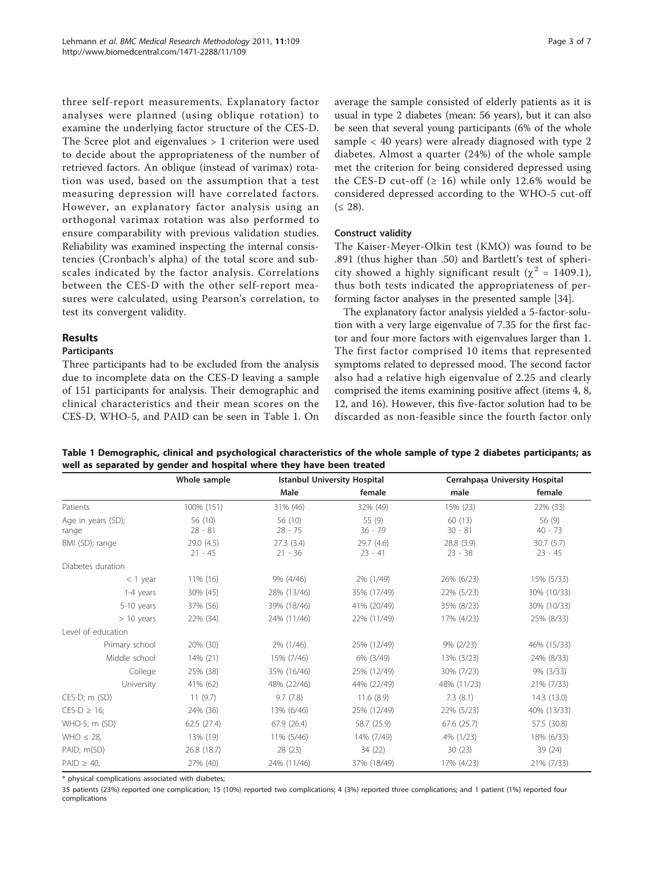three self-report measurements. Explanatory factor analyses were planned (using oblique rotation) to examine the underlying factor structure of the CES-D. The Scree plot and eigenvalues > 1 criterion were used to decide about the appropriateness of the number of retrieved factors. An oblique (instead of varimax) rotation was used, based on the assumption that a test measuring depression will have correlated factors. However, an explanatory factor analysis using an orthogonal varimax rotation was also performed to ensure comparability with previous validation studies. Reliability was examined inspecting the internal consistencies (Cronbach's alpha) of the total score and subscales indicated by the factor analysis. Correlations between the CES-D with the other self-report measures were calculated, using Pearson's correlation, to test its convergent validity.

# Results

# Participants

Three participants had to be excluded from the analysis due to incomplete data on the CES-D leaving a sample of 151 participants for analysis. Their demographic and clinical characteristics and their mean scores on the CES-D, WHO-5, and PAID can be seen in Table 1. On average the sample consisted of elderly patients as it is usual in type 2 diabetes (mean: 56 years), but it can also be seen that several young participants (6% of the whole sample < 40 years) were already diagnosed with type 2 diabetes. Almost a quarter (24%) of the whole sample met the criterion for being considered depressed using the CES-D cut-off  $(≥ 16)$  while only 12.6% would be considered depressed according to the WHO-5 cut-off  $( \leq 28).$ 

# Construct validity

The Kaiser-Meyer-Olkin test (KMO) was found to be .891 (thus higher than .50) and Bartlett's test of sphericity showed a highly significant result ( $\chi^2$  = 1409.1), thus both tests indicated the appropriateness of performing factor analyses in the presented sample [[34\]](#page-6-0).

The explanatory factor analysis yielded a 5-factor-solution with a very large eigenvalue of 7.35 for the first factor and four more factors with eigenvalues larger than 1. The first factor comprised 10 items that represented symptoms related to depressed mood. The second factor also had a relative high eigenvalue of 2.25 and clearly comprised the items examining positive affect (items 4, 8, 12, and 16). However, this five-factor solution had to be discarded as non-feasible since the fourth factor only

| Table 1 Demographic, clinical and psychological characteristics of the whole sample of type 2 diabetes participants; as |
|-------------------------------------------------------------------------------------------------------------------------|
| well as separated by gender and hospital where they have been treated                                                   |

|                             | Whole sample            | <b>Istanbul University Hospital</b> |                         |                         | Cerrahpaşa University Hospital |
|-----------------------------|-------------------------|-------------------------------------|-------------------------|-------------------------|--------------------------------|
|                             |                         | Male                                | female                  | male                    | female                         |
| Patients                    | 100% (151)              | 31% (46)                            | 32% (49)                | 15% (23)                | 22% (33)                       |
| Age in years (SD);<br>range | 56 (10)<br>$28 - 81$    | 56 (10)<br>$28 - 75$                | 55 (9)<br>$36 - 79$     | 60(13)<br>$30 - 81$     | 56 (9)<br>$40 - 73$            |
| BMI (SD); range             | 29.0 (4.5)<br>$21 - 45$ | 27.3(3.4)<br>$21 - 36$              | 29.7 (4.6)<br>$23 - 41$ | 28.8 (3.9)<br>$23 - 38$ | 30.7(5.7)<br>$23 - 45$         |
| Diabetes duration           |                         |                                     |                         |                         |                                |
| $<$ 1 year                  | 11% (16)                | 9% (4/46)                           | 2% (1/49)               | 26% (6/23)              | 15% (5/33)                     |
| 1-4 years                   | 30% (45)                | 28% (13/46)                         | 35% (17/49)             | 22% (5/23)              | 30% (10/33)                    |
| 5-10 years                  | 37% (56)                | 39% (18/46)                         | 41% (20/49)             | 35% (8/23)              | 30% (10/33)                    |
| $> 10$ years                | 22% (34)                | 24% (11/46)                         | 22% (11/49)             | 17% (4/23)              | 25% (8/33)                     |
| Level of education          |                         |                                     |                         |                         |                                |
| Primary school              | 20% (30)                | 2% (1/46)                           | 25% (12/49)             | $9\% (2/23)$            | 46% (15/33)                    |
| Middle school               | 14% (21)                | 15% (7/46)                          | 6% (3/49)               | 13% (3/23)              | 24% (8/33)                     |
| College                     | 25% (38)                | 35% (16/46)                         | 25% (12/49)             | 30% (7/23)              | 9% (3/33)                      |
| University                  | 41% (62)                | 48% (22/46)                         | 44% (22/49)             | 48% (11/23)             | 21% (7/33)                     |
| $CES-D; m(SD)$              | 11(9.7)                 | 9.7(7.8)                            | 11.6(8.9)               | 7.3(8.1)                | 14.3 (13.0)                    |
| $CES-D \geq 16;$            | 24% (36)                | 13% (6/46)                          | 25% (12/49)             | 22% (5/23)              | 40% (13/33)                    |
| WHO-5; m (SD)               | 62.5 (27.4)             | 67.9(26.4)                          | 58.7 (25.9)             | 67.6(25.7)              | 57.5 (30.8)                    |
| WHO $\leq$ 28,              | 13% (19)                | 11% (5/46)                          | 14% (7/49)              | 4% (1/23)               | 18% (6/33)                     |
| PAID; m(SD)                 | 26.8 (18.7)             | 28(23)                              | 34 (22)                 | 30(23)                  | 39(24)                         |
| $PAID \geq 40$ ,            | 27% (40)                | 24% (11/46)                         | 37% (18/49)             | 17% (4/23)              | 21% (7/33)                     |

\* physical complications associated with diabetes;

35 patients (23%) reported one complication; 15 (10%) reported two complications; 4 (3%) reported three complications; and 1 patient (1%) reported four complications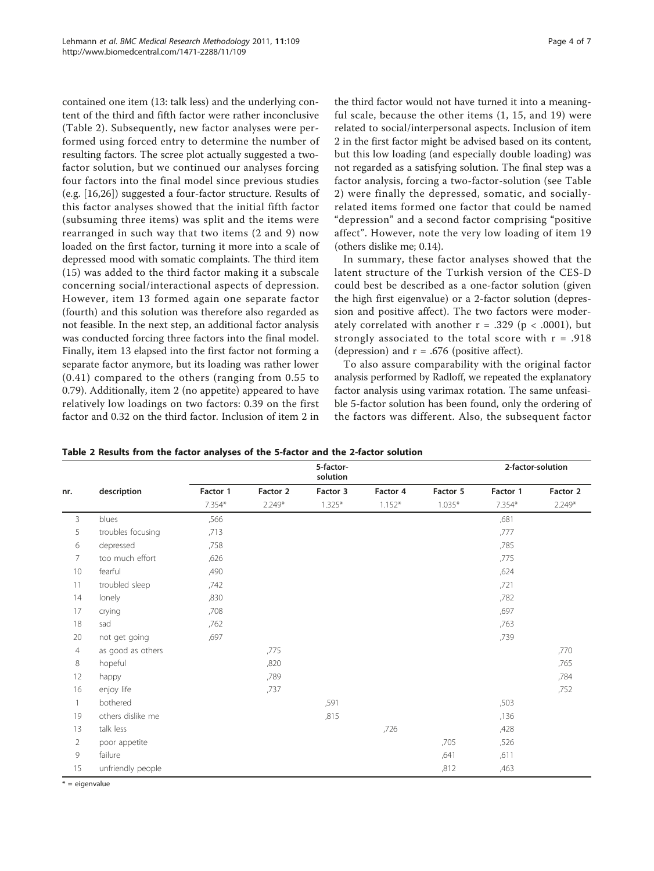contained one item (13: talk less) and the underlying content of the third and fifth factor were rather inconclusive (Table 2). Subsequently, new factor analyses were performed using forced entry to determine the number of resulting factors. The scree plot actually suggested a twofactor solution, but we continued our analyses forcing four factors into the final model since previous studies (e.g. [[16](#page-6-0),[26](#page-6-0)]) suggested a four-factor structure. Results of this factor analyses showed that the initial fifth factor (subsuming three items) was split and the items were rearranged in such way that two items (2 and 9) now loaded on the first factor, turning it more into a scale of depressed mood with somatic complaints. The third item (15) was added to the third factor making it a subscale concerning social/interactional aspects of depression. However, item 13 formed again one separate factor (fourth) and this solution was therefore also regarded as not feasible. In the next step, an additional factor analysis was conducted forcing three factors into the final model. Finally, item 13 elapsed into the first factor not forming a separate factor anymore, but its loading was rather lower (0.41) compared to the others (ranging from 0.55 to 0.79). Additionally, item 2 (no appetite) appeared to have relatively low loadings on two factors: 0.39 on the first factor and 0.32 on the third factor. Inclusion of item 2 in

the third factor would not have turned it into a meaningful scale, because the other items (1, 15, and 19) were related to social/interpersonal aspects. Inclusion of item 2 in the first factor might be advised based on its content, but this low loading (and especially double loading) was not regarded as a satisfying solution. The final step was a factor analysis, forcing a two-factor-solution (see Table 2) were finally the depressed, somatic, and sociallyrelated items formed one factor that could be named "depression" and a second factor comprising "positive affect". However, note the very low loading of item 19 (others dislike me; 0.14).

In summary, these factor analyses showed that the latent structure of the Turkish version of the CES-D could best be described as a one-factor solution (given the high first eigenvalue) or a 2-factor solution (depression and positive affect). The two factors were moderately correlated with another  $r = .329$  ( $p < .0001$ ), but strongly associated to the total score with  $r = .918$ (depression) and  $r = .676$  (positive affect).

To also assure comparability with the original factor analysis performed by Radloff, we repeated the explanatory factor analysis using varimax rotation. The same unfeasible 5-factor solution has been found, only the ordering of the factors was different. Also, the subsequent factor

Table 2 Results from the factor analyses of the 5-factor and the 2-factor solution

|                |                   |          |          | 5-factor-<br>solution |          |          |          | 2-factor-solution |
|----------------|-------------------|----------|----------|-----------------------|----------|----------|----------|-------------------|
| nr.            | description       | Factor 1 | Factor 2 | Factor 3              | Factor 4 | Factor 5 | Factor 1 | Factor 2          |
|                |                   | $7.354*$ | $2.249*$ | $1.325*$              | $1.152*$ | $1.035*$ | 7.354*   | $2.249*$          |
| 3              | blues             | ,566     |          |                       |          |          | ,681     |                   |
| 5              | troubles focusing | ,713     |          |                       |          |          | ,777     |                   |
| 6              | depressed         | ,758     |          |                       |          |          | ,785     |                   |
| 7              | too much effort   | ,626     |          |                       |          |          | ,775     |                   |
| 10             | fearful           | ,490     |          |                       |          |          | ,624     |                   |
| 11             | troubled sleep    | ,742     |          |                       |          |          | ,721     |                   |
| 14             | lonely            | ,830     |          |                       |          |          | ,782     |                   |
| 17             | crying            | ,708     |          |                       |          |          | ,697     |                   |
| 18             | sad               | ,762     |          |                       |          |          | ,763     |                   |
| 20             | not get going     | ,697     |          |                       |          |          | ,739     |                   |
| $\overline{4}$ | as good as others |          | ,775     |                       |          |          |          | ,770              |
| 8              | hopeful           |          | ,820     |                       |          |          |          | ,765              |
| 12             | happy             |          | ,789     |                       |          |          |          | ,784              |
| 16             | enjoy life        |          | ,737     |                       |          |          |          | ,752              |
| 1              | bothered          |          |          | ,591                  |          |          | ,503     |                   |
| 19             | others dislike me |          |          | ,815                  |          |          | ,136     |                   |
| 13             | talk less         |          |          |                       | ,726     |          | ,428     |                   |
| $\overline{2}$ | poor appetite     |          |          |                       |          | ,705     | ,526     |                   |
| 9              | failure           |          |          |                       |          | ,641     | ,611     |                   |
| 15             | unfriendly people |          |          |                       |          | ,812     | ,463     |                   |

 $* =$  eigenvalue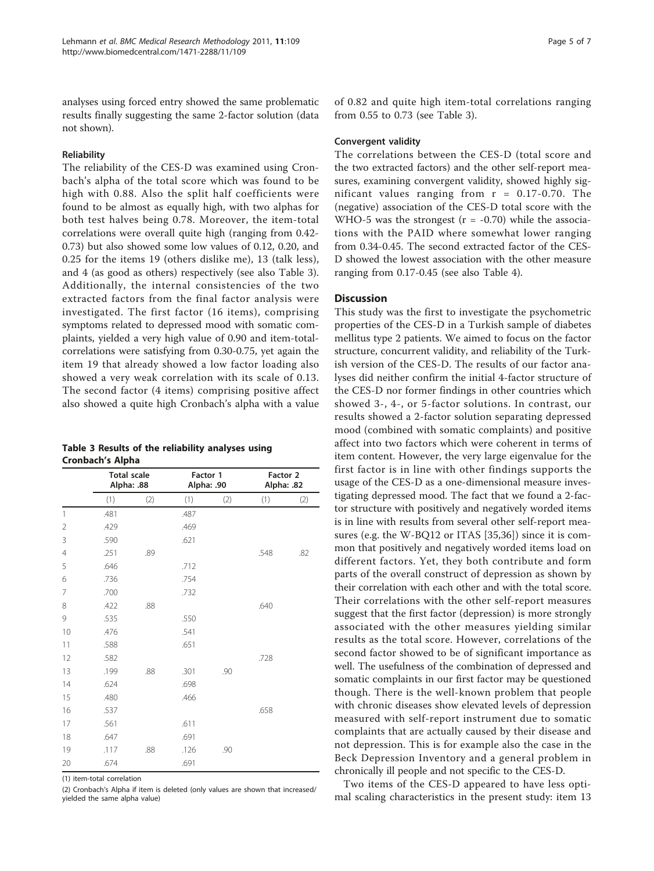analyses using forced entry showed the same problematic results finally suggesting the same 2-factor solution (data not shown).

#### Reliability

The reliability of the CES-D was examined using Cronbach's alpha of the total score which was found to be high with 0.88. Also the split half coefficients were found to be almost as equally high, with two alphas for both test halves being 0.78. Moreover, the item-total correlations were overall quite high (ranging from 0.42- 0.73) but also showed some low values of 0.12, 0.20, and 0.25 for the items 19 (others dislike me), 13 (talk less), and 4 (as good as others) respectively (see also Table 3). Additionally, the internal consistencies of the two extracted factors from the final factor analysis were investigated. The first factor (16 items), comprising symptoms related to depressed mood with somatic complaints, yielded a very high value of 0.90 and item-totalcorrelations were satisfying from 0.30-0.75, yet again the item 19 that already showed a low factor loading also showed a very weak correlation with its scale of 0.13. The second factor (4 items) comprising positive affect also showed a quite high Cronbach's alpha with a value

Table 3 Results of the reliability analyses using Cronbach's Alpha

|                | <b>Total scale</b><br>Alpha: .88 |     | Factor 1<br>Alpha: .90 |     | Factor 2<br>Alpha: .82 |     |
|----------------|----------------------------------|-----|------------------------|-----|------------------------|-----|
|                | (1)                              | (2) | (1)                    | (2) | (1)                    | (2) |
| $\mathbf{1}$   | .481                             |     | .487                   |     |                        |     |
| 2              | .429                             |     | .469                   |     |                        |     |
| 3              | .590                             |     | .621                   |     |                        |     |
| $\overline{4}$ | .251                             | .89 |                        |     | .548                   | .82 |
| 5              | .646                             |     | .712                   |     |                        |     |
| 6              | .736                             |     | .754                   |     |                        |     |
| 7              | .700                             |     | .732                   |     |                        |     |
| 8              | .422                             | .88 |                        |     | .640                   |     |
| 9              | .535                             |     | .550                   |     |                        |     |
| 10             | .476                             |     | .541                   |     |                        |     |
| 11             | .588                             |     | .651                   |     |                        |     |
| 12             | .582                             |     |                        |     | .728                   |     |
| 13             | .199                             | .88 | .301                   | .90 |                        |     |
| 14             | .624                             |     | .698                   |     |                        |     |
| 15             | .480                             |     | .466                   |     |                        |     |
| 16             | .537                             |     |                        |     | .658                   |     |
| 17             | .561                             |     | .611                   |     |                        |     |
| 18             | .647                             |     | .691                   |     |                        |     |
| 19             | .117                             | .88 | .126                   | .90 |                        |     |
| 20             | .674                             |     | .691                   |     |                        |     |

(1) item-total correlation

(2) Cronbach's Alpha if item is deleted (only values are shown that increased/ yielded the same alpha value)

of 0.82 and quite high item-total correlations ranging from 0.55 to 0.73 (see Table 3).

#### Convergent validity

The correlations between the CES-D (total score and the two extracted factors) and the other self-report measures, examining convergent validity, showed highly significant values ranging from  $r = 0.17-0.70$ . The (negative) association of the CES-D total score with the WHO-5 was the strongest  $(r = -0.70)$  while the associations with the PAID where somewhat lower ranging from 0.34-0.45. The second extracted factor of the CES-D showed the lowest association with the other measure ranging from 0.17-0.45 (see also Table [4\)](#page-5-0).

#### **Discussion**

This study was the first to investigate the psychometric properties of the CES-D in a Turkish sample of diabetes mellitus type 2 patients. We aimed to focus on the factor structure, concurrent validity, and reliability of the Turkish version of the CES-D. The results of our factor analyses did neither confirm the initial 4-factor structure of the CES-D nor former findings in other countries which showed 3-, 4-, or 5-factor solutions. In contrast, our results showed a 2-factor solution separating depressed mood (combined with somatic complaints) and positive affect into two factors which were coherent in terms of item content. However, the very large eigenvalue for the first factor is in line with other findings supports the usage of the CES-D as a one-dimensional measure investigating depressed mood. The fact that we found a 2-factor structure with positively and negatively worded items is in line with results from several other self-report measures (e.g. the W-BQ12 or ITAS [\[35,36](#page-6-0)]) since it is common that positively and negatively worded items load on different factors. Yet, they both contribute and form parts of the overall construct of depression as shown by their correlation with each other and with the total score. Their correlations with the other self-report measures suggest that the first factor (depression) is more strongly associated with the other measures yielding similar results as the total score. However, correlations of the second factor showed to be of significant importance as well. The usefulness of the combination of depressed and somatic complaints in our first factor may be questioned though. There is the well-known problem that people with chronic diseases show elevated levels of depression measured with self-report instrument due to somatic complaints that are actually caused by their disease and not depression. This is for example also the case in the Beck Depression Inventory and a general problem in chronically ill people and not specific to the CES-D.

Two items of the CES-D appeared to have less optimal scaling characteristics in the present study: item 13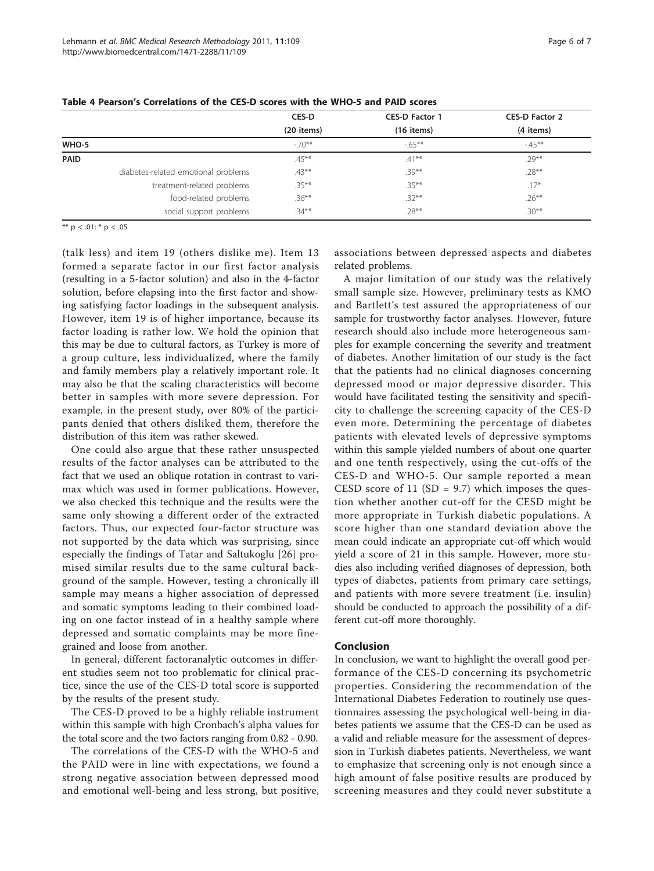|                                     | CES-D        | <b>CES-D Factor 1</b> | <b>CES-D Factor 2</b> |
|-------------------------------------|--------------|-----------------------|-----------------------|
|                                     | $(20$ items) | $(16$ items)          | (4 items)             |
| WHO-5                               | $-70**$      | $-65***$              | $-45***$              |
| PAID                                | $.45***$     | $.41***$              | $.29***$              |
| diabetes-related emotional problems | $.43***$     | $.39***$              | $.28***$              |
| treatment-related problems          | $.35***$     | $.35***$              | $.17*$                |
| food-related problems               | $.36***$     | $.32***$              | $.26***$              |
| social support problems             | $.34***$     | $.28***$              | $.30***$              |

<span id="page-5-0"></span>Table 4 Pearson's Correlations of the CES-D scores with the WHO-5 and PAID scores

\*\* p < .01; \* p < .05

(talk less) and item 19 (others dislike me). Item 13 formed a separate factor in our first factor analysis (resulting in a 5-factor solution) and also in the 4-factor solution, before elapsing into the first factor and showing satisfying factor loadings in the subsequent analysis. However, item 19 is of higher importance, because its factor loading is rather low. We hold the opinion that this may be due to cultural factors, as Turkey is more of a group culture, less individualized, where the family and family members play a relatively important role. It may also be that the scaling characteristics will become better in samples with more severe depression. For example, in the present study, over 80% of the participants denied that others disliked them, therefore the distribution of this item was rather skewed.

One could also argue that these rather unsuspected results of the factor analyses can be attributed to the fact that we used an oblique rotation in contrast to varimax which was used in former publications. However, we also checked this technique and the results were the same only showing a different order of the extracted factors. Thus, our expected four-factor structure was not supported by the data which was surprising, since especially the findings of Tatar and Saltukoglu [[26](#page-6-0)] promised similar results due to the same cultural background of the sample. However, testing a chronically ill sample may means a higher association of depressed and somatic symptoms leading to their combined loading on one factor instead of in a healthy sample where depressed and somatic complaints may be more finegrained and loose from another.

In general, different factoranalytic outcomes in different studies seem not too problematic for clinical practice, since the use of the CES-D total score is supported by the results of the present study.

The CES-D proved to be a highly reliable instrument within this sample with high Cronbach's alpha values for the total score and the two factors ranging from 0.82 - 0.90.

The correlations of the CES-D with the WHO-5 and the PAID were in line with expectations, we found a strong negative association between depressed mood and emotional well-being and less strong, but positive, associations between depressed aspects and diabetes related problems.

A major limitation of our study was the relatively small sample size. However, preliminary tests as KMO and Bartlett's test assured the appropriateness of our sample for trustworthy factor analyses. However, future research should also include more heterogeneous samples for example concerning the severity and treatment of diabetes. Another limitation of our study is the fact that the patients had no clinical diagnoses concerning depressed mood or major depressive disorder. This would have facilitated testing the sensitivity and specificity to challenge the screening capacity of the CES-D even more. Determining the percentage of diabetes patients with elevated levels of depressive symptoms within this sample yielded numbers of about one quarter and one tenth respectively, using the cut-offs of the CES-D and WHO-5. Our sample reported a mean CESD score of 11 (SD = 9.7) which imposes the question whether another cut-off for the CESD might be more appropriate in Turkish diabetic populations. A score higher than one standard deviation above the mean could indicate an appropriate cut-off which would yield a score of 21 in this sample. However, more studies also including verified diagnoses of depression, both types of diabetes, patients from primary care settings, and patients with more severe treatment (i.e. insulin) should be conducted to approach the possibility of a different cut-off more thoroughly.

#### Conclusion

In conclusion, we want to highlight the overall good performance of the CES-D concerning its psychometric properties. Considering the recommendation of the International Diabetes Federation to routinely use questionnaires assessing the psychological well-being in diabetes patients we assume that the CES-D can be used as a valid and reliable measure for the assessment of depression in Turkish diabetes patients. Nevertheless, we want to emphasize that screening only is not enough since a high amount of false positive results are produced by screening measures and they could never substitute a